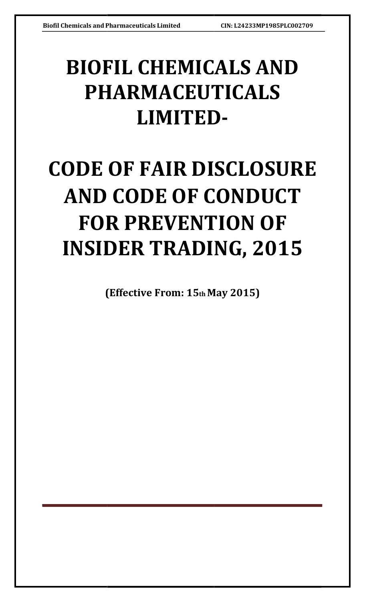## BIOFIL CHEMICALS AND PHARMACEUTICALS LIMITED LIMITED-

# CODE OF FAIR DISCLOSURE AND CODE OF CONDUCT FOR PREVENTION OF INSIDER TRADING, 2015

(Effective From: 15 th May 2015) May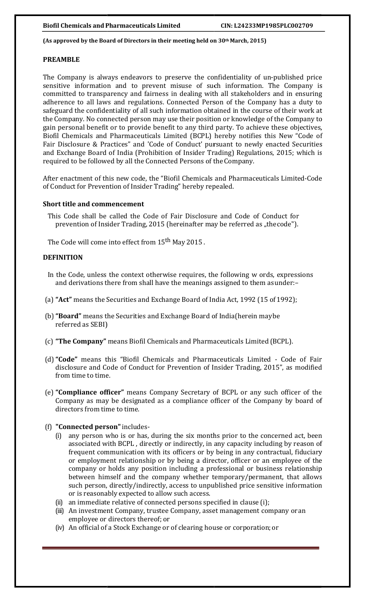#### (As approved by the Board of Directors in their meeting held on  $30<sup>th</sup>$  March, 2015)

#### PREAMBLE

The Company is always endeavors to preserve the confidentiality of un-published price sensitive information and to prevent misuse of such information. The Company is committed to transparency and fairness in dealing with all stakeholders and in ensuring adherence to all laws and regulations. Connected Perso committed to transparency and fairness in dealing with all stakeholders and in ensuring adherence to all laws and regulations. Connected Person of the Company has a duty safeguard the confidentiality of all such information obtained in the course of their work at the Company. No connected person may use their position or knowledge of the Company to gain personal benefit or to provide benefit to any third party. To achieve these objectives, Biofil Chemicals and Pharmaceuticals Limited (BCPL) hereby notifies this New "Code of Fair Disclosure & Practices" and 'Code of Conduct' pursuant to newly enacted Securities and Exchange Board of India (Prohibition of Insider Trading) Regulations, 2015; which is required to be followed by all the Connected Persons of the Company. safeguard the confidentiality of all such information obtained in the course of their work at the Company. No connected person may use their position or knowledge of the Company to gain personal benefit or to provide benef entiality of un-published price<br>nformation. The Company is<br>l stakeholders and in ensuring<br>of the Company has a duty to<br>d in the course of their work at<br>r knowledge of the Company to<br>y. To achieve these objectives,<br>by notif

After enactment of this new code, the "Biofil Chemicals and Pharmaceuticals Limited-Code of Conduct for Prevention of Insider Trading" hereby repealed.

#### Short title and commencement

This Code shall be called the Code of Fair Disclosure and Code of Conduct for prevention of Insider Trading, 2015 (hereinafter may be referred as "the code"). onduct for Prevention of Insider Trading" hereby repealed.<br>Intitle and commencement<br>In Some Code Shall be called the Code of Fair Disclosure and Code of Conduct for<br>prevention of Insider Trading, 2015 (hereinafter may be r

The Code will come into effect from 15<sup>th</sup> May 2015 .

## **DEFINITION**

- In the Code, unless the context otherwise requires, the following w ords, expressions and derivations there from shall have the meanings assigned to them as under:-
- (a) "Act" means the Securities and Exchange Board of India Act, 1992 (15 of 1992);
- (b) "Board" means the Securities and Exchange Board of India(herein maybe referred as SEBI)
- (c) "The Company" means Biofil Chemicals and Pharmaceuticals Limited Limited (BCPL).
- (d) "Code" means this "Biofil Chemicals and Pharmaceuticals Limited Code of Fair from time to time.
- disclosure and Code of Conduct for Prevention of Insider Trading, 2015", as modified<br>from time to time.<br>**"Compliance officer"** means Company Secretary of BCPL or any such officer of the<br>Company as may be designated as a co (e) "Compliance officer" means Company Secretary of BCPL or any such officer of the Company as may be designated as a compliance officer of the Company by board of directors from time to time.
- (f) "Connected person" includes-
	- (i) any person who is or has, during the six months prior to the concerned act, been any person who is or has, during the six months prior to the concerned act, been<br>associated with BCPL, directly or indirectly, in any capacity including by reason of frequent communication with its officers or by being in any contractual, fiduciary or employment relationship or by being a director, officer or an employee of the company or holds any position including a professional or b between himself and the company whether temporary/permanent, that allows such person, directly/indirectly, access to unpublished price sensitive information or is reasonably expected to allow such access.<br>an immediate rela such person, directly/indirectly, access to unpublished price sensitive information or is reasonably expected to allow such such access. quent communication with its officers or by being in any contractual, fiduciary<br>employment relationship or by being a director, officer or an employee of the<br>npany or holds any position including a professional or business
	- (ii) an immediate relative of connected persons specified in clause
	- (iii) An investment Company, trustee Company, asset management company or an employee or directors thereof; or
	- (iv) An official of a Stock Exchange or of clearing house or corporation; or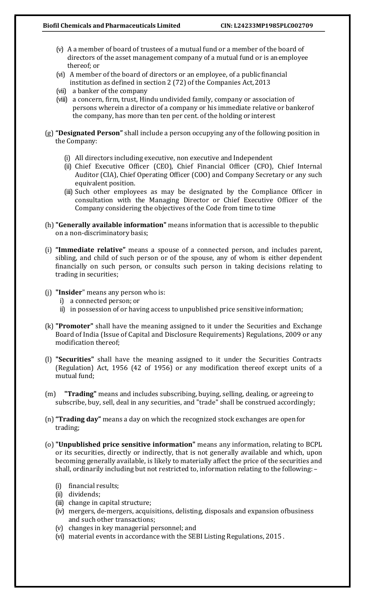- (v) A a member of board of trustees of a mutual fund or a member of the board of directors of the asset management company of a mutual fund or is an employee thereof; or
- (vi) A member of the board of directors or an employee, of a public financial institution as defined in section 2 (72) of the Companies Act, 2013
- (vii) a banker of the company
- (viii) a concern, firm, trust, Hindu undivided family, company or association of persons wherein a director of a company or his immediate relative or banker of the company, has more than ten per cent. of the holding or interest
- (g) "Designated Person" shall include a person occupying any of the following position in the Company:
	- (i) All directors including executive, non executive and Independent
	- (ii) Chief Executive Officer (CEO), Chief Financial Officer (CFO), Chief Internal Auditor (CIA), Chief Operating Officer (COO) and Company Secretary or any such equivalent position.
	- (iii) Such other employees as may be designated by the Compliance Officer in consultation with the Managing Director or Chief Executive Officer of the Company considering the objectives of the Code from time to time
- (h) "Generally available information" means information that is accessible to the public on a non-discriminatory basis;
- (i) "Immediate relative" means a spouse of a connected person, and includes parent, sibling, and child of such person or of the spouse, any of whom is either dependent financially on such person, or consults such person in taking decisions relating to trading in securities;
- (j) "Insider" means any person who is:
	- i) a connected person; or
	- ii) in possession of or having access to unpublished price sensitive information;
- (k) "Promoter" shall have the meaning assigned to it under the Securities and Exchange Board of India (Issue of Capital and Disclosure Requirements) Regulations, 2009 or any modification thereof;
- (l) "Securities" shall have the meaning assigned to it under the Securities Contracts (Regulation) Act, 1956 (42 of 1956) or any modification thereof except units of a mutual fund;
- (m) "Trading" means and includes subscribing, buying, selling, dealing, or agreeing to subscribe, buy, sell, deal in any securities, and "trade" shall be construed accordingly ;
- (n)"Trading day" means a day on which the recognized stock exchanges are open for trading;
- (o) "Unpublished price sensitive information" means any information, relating to BCPL or its securities, directly or indirectly, that is not generally available and which, upon becoming generally available, is likely to materially affect the price of the securities and shall, ordinarily including but not restricted to, information relating to the following: –
	- (i) financial results;
	- (ii) dividends;
	- (iii) change in capital structure;
	- (iv) mergers, de-mergers, acquisitions, delisting, disposals and expansion of business and such other transactions;
	- (v) changes in key managerial personnel; and
	- (vi) material events in accordance with the SEBI Listing Regulations, 2015 .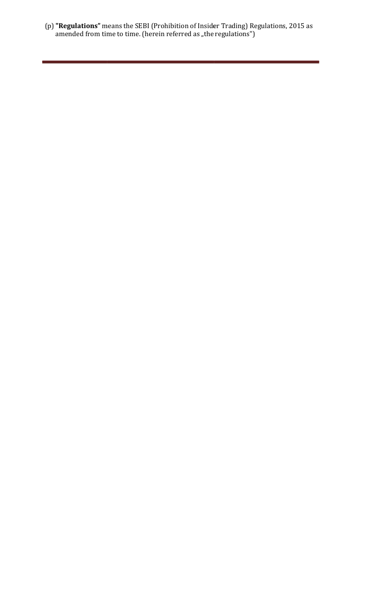(p) "Regulations" means the SEBI (Prohibition of Insider Trading) Regulations, 2015 as amended from time to time. (herein referred as "the regulations")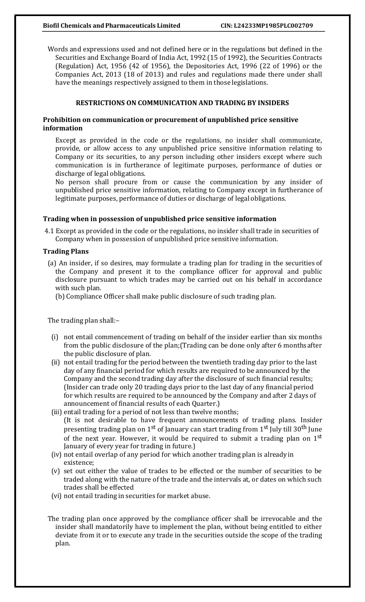### Biofil Chemicals and Pharmaceuticals Limited CIN: L24233MP1985PLC002709

Words and expressions used and not defined here or in the regulations but defined in the Securities and Exchange Board of India Act, 1992 (15 of 1992), the Securities Contracts (Regulation) Act, 1956 (42 of 1956), the Depositories Act, 1996 (22 of 1996) or the Companies Act, 2013 (18 of 2013) and rules and regulations made there under shall have the meanings respectively assigned to them in those legislations.

## RESTRICTIONS ON COMMUNICATION AND TRADING BY INSIDERS

## Prohibition on communication or procurement of unpublished price sensitive information

Except as provided in the code or the regulations, no insider shall communicate, provide, or allow access to any unpublished price sensitive information relating to Company or its securities, to any person including other insiders except where such communication is in furtherance of legitimate purposes, performance of duties or discharge of legal obligations.

No person shall procure from or cause the communication by any insider of unpublished price sensitive information, relating to Company except in furtherance of legitimate purposes, performance of duties or discharge of legal obligations.

#### Trading when in possession of unpublished price sensitive information

4.1 Except as provided in the code or the regulations, no insider shall trade in securities of Company when in possession of unpublished price sensitive information.

#### Trading Plans

(a) An insider, if so desires, may formulate a trading plan for trading in the securities of the Company and present it to the compliance officer for approval and public disclosure pursuant to which trades may be carried out on his behalf in accordance with such plan.

(b) Compliance Officer shall make public disclosure of such trading plan.

The trading plan shall:–

- (i) not entail commencement of trading on behalf of the insider earlier than six months from the public disclosure of the plan;(Trading can be done only after 6 months after the public disclosure of plan.
- (ii) not entail trading for the period between the twentieth trading day prior to the last day of any financial period for which results are required to be announced by the Company and the second trading day after the disclosure of such financial results; (Insider can trade only 20 trading days prior to the last day of any financial period for which results are required to be announced by the Company and after 2 days of announcement of financial results of each Quarter.)
- (iii) entail trading for a period of not less than twelve months; (It is not desirable to have frequent announcements of trading plans. Insider presenting trading plan on 1<sup>st</sup> of January can start trading from 1<sup>st</sup> July till 30<sup>th</sup> June of the next year. However, it would be required to submit a trading plan on  $1<sup>st</sup>$ January of every year for trading in future.)
- (iv) not entail overlap of any period for which another trading plan is already in existence;
- (v) set out either the value of trades to be effected or the number of securities to be traded along with the nature of the trade and the intervals at, or dates on which such trades shall be effected
- (vi) not entail trading in securities for market abuse.
- The trading plan once approved by the compliance officer shall be irrevocable and the insider shall mandatorily have to implement the plan, without being entitled to either deviate from it or to execute any trade in the securities outside the scope of the trading plan.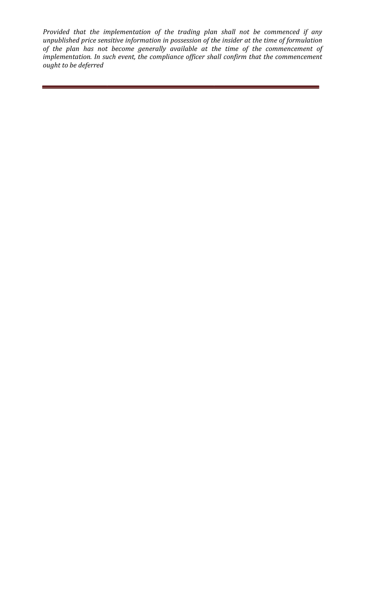Provided that the implementation of the trading plan shall not be commenced unpublished price sensitive information in possession of the insider at the time of formulation of the plan has not become generally available at the time of the commencement of implementation. In such event, the compliance officer shall confirm tha ought to be deferred if any insider at the time of formulation<br>time of the commencement of<br>confirm that the commencement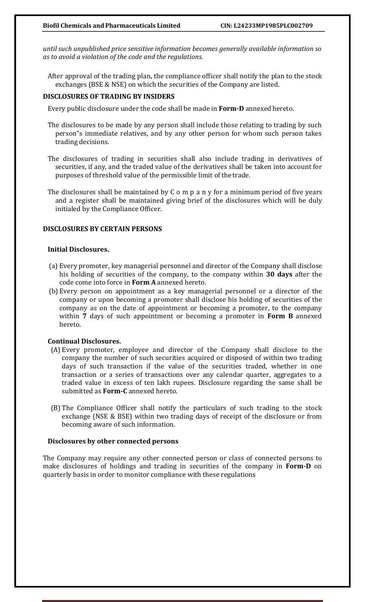until such unpublished price sensitive information becomes generally available information so as to avoid a violation of the code and the regulations.

After approval of the trading plan, the compliance officer shall notify the plan to the stock exchanges (BSE & NSE) on which the securities of the Company are listed.

#### DISCLOSURES OF TRADING BY INSIDERS

Every public disclosure under the code shall be made in Form-D annexed hereto.

- The disclosures to be made by any person shall include those relating to trading by such person"s immediate relatives, and by any other person for whom such person takes trading decisions.
- The disclosures of trading in securities shall also include trading in derivatives of securities, if any, and the traded value of the derivatives shall be taken into account for purposes of threshold value of the permissible limit of the trade.
- The disclosures shall be maintained by C o m p a n y for a minimum period of five years and a register shall be maintained giving brief of the disclosures which will be duly initialed by the Compliance Officer.

#### DISCLOSURES BY CERTAIN PERSONS

## Initial Disclosures.

- (a) Every promoter, key managerial personnel and director of the Company shall disclose his holding of securities of the company, to the company within 30 days after the code come into force in Form A annexed hereto.
- (b) Every person on appointment as a key managerial personnel or a director of the company or upon becoming a promoter shall disclose his holding of securities of the company as on the date of appointment or becoming a promoter, to the company within 7 days of such appointment or becoming a promoter in Form B annexed hereto.

#### Continual Disclosures.

- (A) Every promoter, employee and director of the Company shall disclose to the company the number of such securities acquired or disposed of within two trading days of such transaction if the value of the securities traded, whether in one transaction or a series of transactions over any calendar quarter, aggregates to a traded value in excess of ten lakh rupees. Disclosure regarding the same shall be submitted as Form-C annexed hereto.
- (B) The Compliance Officer shall notify the particulars of such trading to the stock exchange (NSE & BSE) within two trading days of receipt of the disclosure or from becoming aware of such information.

#### Disclosures by other connected persons

The Company may require any other connected person or class of connected persons to make disclosures of holdings and trading in securities of the company in Form-D on quarterly basis in order to monitor compliance with these regulations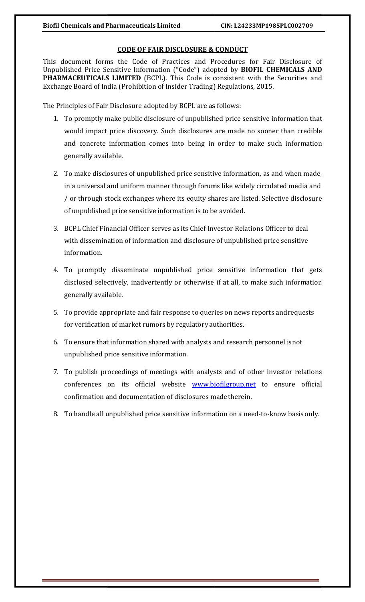## CODE OF FAIR DISCLOSURE & CONDUCT DISCLOSURE &

This document forms the Code of Practices and Procedures for Fair Disclosure of Unpublished Price Sensitive Information ("Code") adopted by **BIOFIL CHEMICALS AND** Unpublished Price Sensitive Information ("Code") adopted by **BIOFIL CHEMICALS AND**<br>**PHARMACEUTICALS LIMITED** (BCPL). This Code is consistent with the Securities and Exchange Board of India (Prohibition of Insider Trading) Regulations, 2015.

The Principles of Fair Disclosure adopted by BCPL are as follows:

- 1. To promptly make public disclosure of unpublished price sensitive information that would impact price discovery. Such disclosures are made no sooner than credible and concrete information comes into being in order to make such information generally available. CEUTICALS LIMITED (BCPL). This Code is consistent with the Securities and<br>Board of India (Prohibition of Insider Trading) Regulations, 2015.<br>ples of Fair Disclosure adopted by BCPL are as follows:<br>promptly make public disc
- 2. To make disclosures of unpublished price sensitive information, as and when made, in a universal and uniform manner through forums like widely circulated media and in a universal and uniform manner through forums like widely circulated media / or through stock exchanges where its equity shares are listed. Selective disclosure of unpublished price sensitive information is to be avoided.
- 3. BCPL Chief Financial Officer serves as its Chief Investor Relations Officer to deal with dissemination of information and disclosure of unpublished price sensitive information.
- 4. To promptly disseminate unpublished price sensitive information that gets disclosed selectively, inadvertently or otherwise if at all, to make such information generally available. BCPL Chief Financial Officer serves as its Chief Investor Relations Officer to deal<br>with dissemination of information and disclosure of unpublished price sensitive<br>information.<br>To promptly disseminate unpublished price sen
- 5. To provide appropriate and fair response to queries on news for verification of market rumors by regulatory authorities.
- 6 To ensure that information shared with analysts and research personnel isnot unpublished price sensitive sensitive information.
- 7. To publish proceedings of meetings with analysts and of other investor relations conferences on its official website **www.biofilgroup.net** to ensure official confirmation and documentation of disclosures made therein.
- 8 To handle all unpublished price sensitive information on a need-to-know basis only.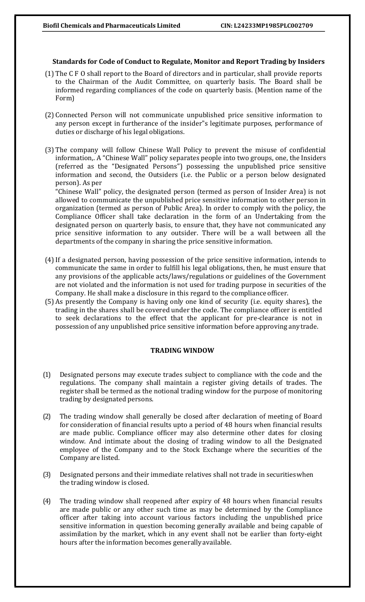## Standards for Code of Conduct to Regulate, Monitor and Report Trading by Insiders

- (1) The C F O shall report to the Board of directors and in particular, shall provide reports to the Chairman of the Audit Committee, on quarterly basis. The Board shall be informed regarding compliances of the code on quarterly basis. (Mention name of the Form)
- (2) Connected Person will not communicate unpublished price sensitive information to any person except in furtherance of the insider"s legitimate purposes, performance of duties or discharge of his legal obligations.
- (3) The company will follow Chinese Wall Policy to prevent the misuse of confidential information,. A "Chinese Wall" policy separates people into two groups, one, the Insiders (referred as the "Designated Persons") possessing the unpublished price sensitive information and second, the Outsiders (i.e. the Public or a person below designated person). As per

"Chinese Wall" policy, the designated person (termed as person of Insider Area) is not allowed to communicate the unpublished price sensitive information to other person in organization (termed as person of Public Area). In order to comply with the policy, the Compliance Officer shall take declaration in the form of an Undertaking from the designated person on quarterly basis, to ensure that, they have not communicated any price sensitive information to any outsider. There will be a wall between all the departments of the company in sharing the price sensitive information.

- (4)If a designated person, having possession of the price sensitive information, intends to communicate the same in order to fulfill his legal obligations, then, he must ensure that any provisions of the applicable acts/laws/regulations or guidelines of the Government are not violated and the information is not used for trading purpose in securities of the Company. He shall make a disclosure in this regard to the compliance officer.
- (5) As presently the Company is having only one kind of security (i.e. equity shares), the trading in the shares shall be covered under the code. The compliance officer is entitled to seek declarations to the effect that the applicant for pre-clearance is not in possession of any unpublished price sensitive information before approving any trade.

## TRADING WINDOW

- (1) Designated persons may execute trades subject to compliance with the code and the regulations. The company shall maintain a register giving details of trades. The register shall be termed as the notional trading window for the purpose of monitoring trading by designated persons.
- (2) The trading window shall generally be closed after declaration of meeting of Board for consideration of financial results upto a period of 48 hours when financial results are made public. Compliance officer may also determine other dates for closing window. And intimate about the closing of trading window to all the Designated employee of the Company and to the Stock Exchange where the securities of the Company are listed.
- (3) Designated persons and their immediate relatives shall not trade in securities when the trading window is closed.
- (4) The trading window shall reopened after expiry of 48 hours when financial results are made public or any other such time as may be determined by the Compliance officer after taking into account various factors including the unpublished price sensitive information in question becoming generally available and being capable of assimilation by the market, which in any event shall not be earlier than forty-eight hours after the information becomes generally available.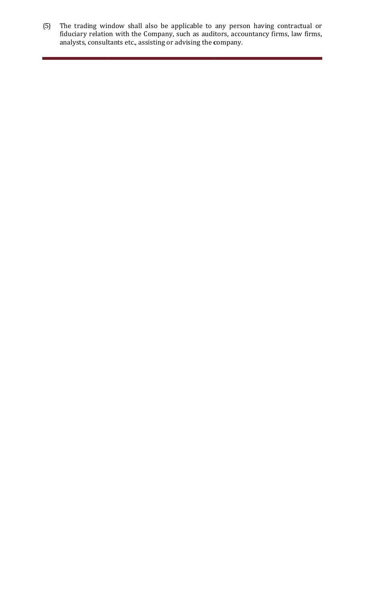(5) The trading window shall also be applicable to any person having contractual or fiduciary relation with the Company, such as auditors, accountancy firms, law firms, analysts, consultants etc., assisting or advising the company.